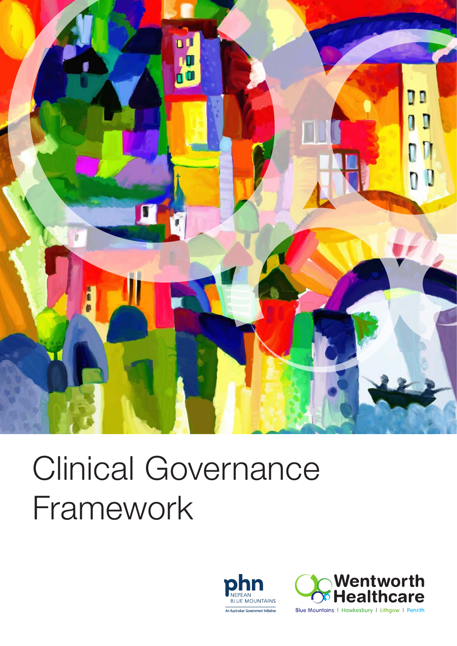

## Clinical Governance Framework





Blue Mountains | Hawkesbury | Lithgow | Penrith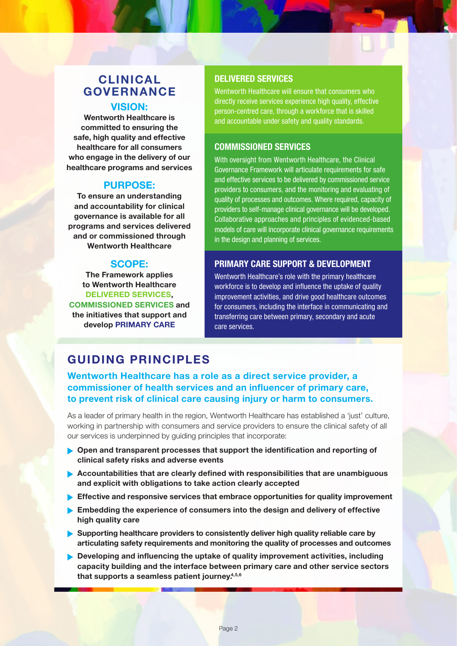#### CLINICAL GOVERNANCE VISION:

Wentworth Healthcare is committed to ensuring the safe, high quality and effective healthcare for all consumers who engage in the delivery of our healthcare programs and services

#### PURPOSE:

To ensure an understanding and accountability for clinical governance is available for all programs and services delivered and or commissioned through Wentworth Healthcare

#### SCOPE:

The Framework applies to Wentworth Healthcare DELIVERED SERVICES, COMMISSIONED SERVICES and the initiatives that support and develop PRIMARY CARE

#### DELIVERED SERVICES

Wentworth Healthcare will ensure that consumers who directly receive services experience high quality, effective person-centred care, through a workforce that is skilled and accountable under safety and quality standards.

#### COMMISSIONED SERVICES

With oversight from Wentworth Healthcare, the Clinical Governance Framework will articulate requirements for safe and effective services to be delivered by commissioned service providers to consumers, and the monitoring and evaluating of quality of processes and outcomes. Where required, capacity of providers to self-manage clinical governance will be developed. Collaborative approaches and principles of evidenced-based models of care will incorporate clinical governance requirements in the design and planning of services.

#### PRIMARY CARE SUPPORT & DEVELOPMENT

Wentworth Healthcare's role with the primary healthcare workforce is to develop and influence the uptake of quality improvement activities, and drive good healthcare outcomes for consumers, including the interface in communicating and transferring care between primary, secondary and acute care services.

#### GUIDING PRINCIPLES

#### Wentworth Healthcare has a role as a direct service provider, a commissioner of health services and an influencer of primary care, to prevent risk of clinical care causing injury or harm to consumers.

As a leader of primary health in the region, Wentworth Healthcare has established a 'just' culture, working in partnership with consumers and service providers to ensure the clinical safety of all our services is underpinned by guiding principles that incorporate:

- $\triangleright$  Open and transparent processes that support the identification and reporting of clinical safety risks and adverse events
- $\blacktriangleright$  Accountabilities that are clearly defined with responsibilities that are unambiguous and explicit with obligations to take action clearly accepted
- Effective and responsive services that embrace opportunities for quality improvement
- $\blacktriangleright$  Embedding the experience of consumers into the design and delivery of effective high quality care
- $\triangleright$  Supporting healthcare providers to consistently deliver high quality reliable care by articulating safety requirements and monitoring the quality of processes and outcomes
- Developing and influencing the uptake of quality improvement activities, including capacity building and the interface between primary care and other service sectors that supports a seamless patient journey.<sup>4,5,6</sup>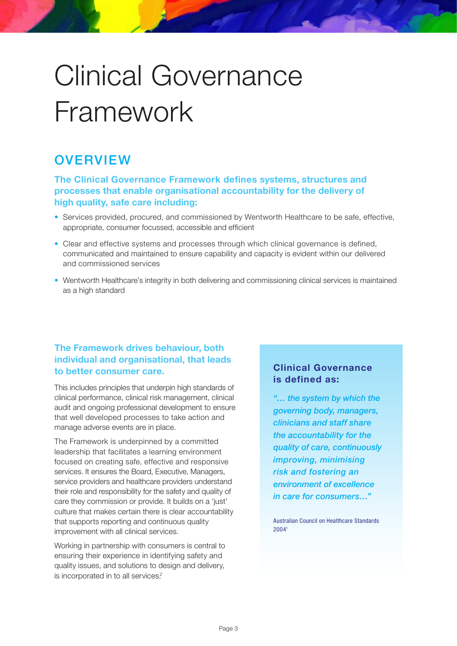### Clinical Governance Framework

#### **OVERVIEW**

#### The Clinical Governance Framework defines systems, structures and processes that enable organisational accountability for the delivery of high quality, safe care including:

- Services provided, procured, and commissioned by Wentworth Healthcare to be safe, effective, appropriate, consumer focussed, accessible and efficient
- Clear and effective systems and processes through which clinical governance is defined, communicated and maintained to ensure capability and capacity is evident within our delivered and commissioned services
- Wentworth Healthcare's integrity in both delivering and commissioning clinical services is maintained as a high standard

#### The Framework drives behaviour, both individual and organisational, that leads to better consumer care.

This includes principles that underpin high standards of clinical performance, clinical risk management, clinical audit and ongoing professional development to ensure that well developed processes to take action and manage adverse events are in place.

The Framework is underpinned by a committed leadership that facilitates a learning environment focused on creating safe, effective and responsive services. It ensures the Board, Executive, Managers, service providers and healthcare providers understand their role and responsibility for the safety and quality of care they commission or provide. It builds on a 'just' culture that makes certain there is clear accountability that supports reporting and continuous quality improvement with all clinical services.

Working in partnership with consumers is central to ensuring their experience in identifying safety and quality issues, and solutions to design and delivery, is incorporated in to all services.<sup>2</sup>

#### Clinical Governance is defined as:

"… the system by which the governing body, managers, clinicians and staff share the accountability for the quality of care, continuously improving, minimising risk and fostering an environment of excellence in care for consumers…"

Australian Council on Healthcare Standards 20041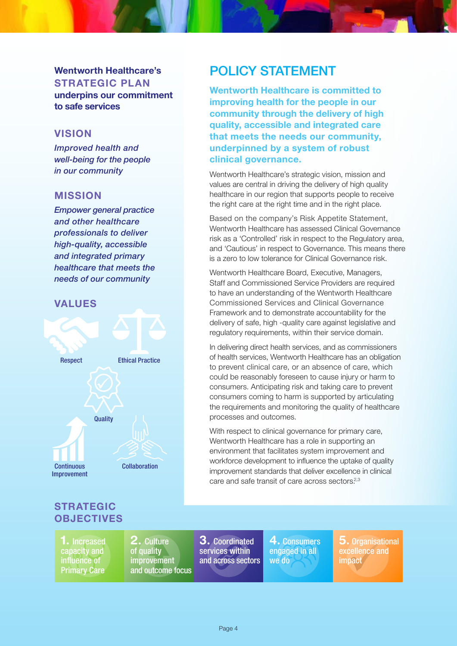#### Wentworth Healthcare's STRATEGIC PLAN underpins our commitment

to safe services

#### **VISION**

Improved health and well-being for the people in our community

#### MISSION

Empower general practice and other healthcare professionals to deliver high-quality, accessible and integrated primary healthcare that meets the needs of our community

#### VALUES



#### POLICY STATEMENT

Wentworth Healthcare is committed to improving health for the people in our community through the delivery of high quality, accessible and integrated care that meets the needs our community, underpinned by a system of robust clinical governance.

Wentworth Healthcare's strategic vision, mission and values are central in driving the delivery of high quality healthcare in our region that supports people to receive the right care at the right time and in the right place.

Based on the company's Risk Appetite Statement, Wentworth Healthcare has assessed Clinical Governance risk as a 'Controlled' risk in respect to the Regulatory area, and 'Cautious' in respect to Governance. This means there is a zero to low tolerance for Clinical Governance risk.

Wentworth Healthcare Board, Executive, Managers, Staff and Commissioned Service Providers are required to have an understanding of the Wentworth Healthcare Commissioned Services and Clinical Governance Framework and to demonstrate accountability for the delivery of safe, high -quality care against legislative and regulatory requirements, within their service domain.

In delivering direct health services, and as commissioners of health services, Wentworth Healthcare has an obligation to prevent clinical care, or an absence of care, which could be reasonably foreseen to cause injury or harm to consumers. Anticipating risk and taking care to prevent consumers coming to harm is supported by articulating the requirements and monitoring the quality of healthcare processes and outcomes.

With respect to clinical governance for primary care, Wentworth Healthcare has a role in supporting an environment that facilitates system improvement and workforce development to influence the uptake of quality improvement standards that deliver excellence in clinical care and safe transit of care across sectors $2,3$ 

#### STRATEGIC **OBJECTIVES**

1. Increased capacity and influence of Primary Care

2. Culture of quality improvement and outcome focus

3. Coordinated services within and across sectors

4. Consumers engaged in all we do

 ${\bf 5.}$  Organisational excellence and **impact**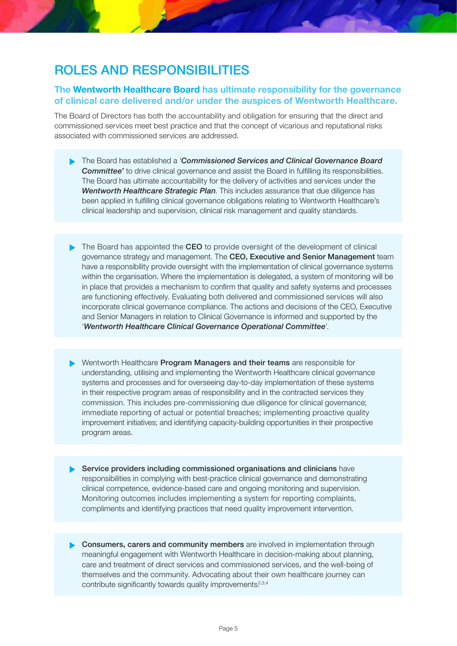#### ROLES AND RESPONSIBILITIES

#### The Wentworth Healthcare Board has ultimate responsibility for the governance of clinical care delivered and/or under the auspices of Wentworth Healthcare.

The Board of Directors has both the accountability and obligation for ensuring that the direct and commissioned services meet best practice and that the concept of vicarious and reputational risks associated with commissioned services are addressed.

- The Board has established a 'Commissioned Services and Clinical Governance Board **Committee'** to drive clinical governance and assist the Board in fulfilling its responsibilities. The Board has ultimate accountability for the delivery of activities and services under the Wentworth Healthcare Strategic Plan. This includes assurance that due diligence has been applied in fulfilling clinical governance obligations relating to Wentworth Healthcare's clinical leadership and supervision, clinical risk management and quality standards.
- The Board has appointed the CEO to provide oversight of the development of clinical governance strategy and management. The CEO, Executive and Senior Management team have a responsibility provide oversight with the implementation of clinical governance systems within the organisation. Where the implementation is delegated, a system of monitoring will be in place that provides a mechanism to confirm that quality and safety systems and processes are functioning effectively. Evaluating both delivered and commissioned services will also incorporate clinical governance compliance. The actions and decisions of the CEO, Executive and Senior Managers in relation to Clinical Governance is informed and supported by the 'Wentworth Healthcare Clinical Governance Operational Committee'.
- Mentworth Healthcare Program Managers and their teams are responsible for understanding, utilising and implementing the Wentworth Healthcare clinical governance systems and processes and for overseeing day-to-day implementation of these systems in their respective program areas of responsibility and in the contracted services they commission. This includes pre-commissioning due diligence for clinical governance; immediate reporting of actual or potential breaches; implementing proactive quality improvement initiatives; and identifying capacity-building opportunities in their prospective program areas.
- Service providers including commissioned organisations and clinicians have responsibilities in complying with best-practice clinical governance and demonstrating clinical competence, evidence-based care and ongoing monitoring and supervision. Monitoring outcomes includes implementing a system for reporting complaints, compliments and identifying practices that need quality improvement intervention.
- **Consumers, carers and community members** are involved in implementation through meaningful engagement with Wentworth Healthcare in decision-making about planning, care and treatment of direct services and commissioned services, and the well-being of themselves and the community. Advocating about their own healthcare journey can contribute significantly towards quality improvements.<sup>2,3,4</sup>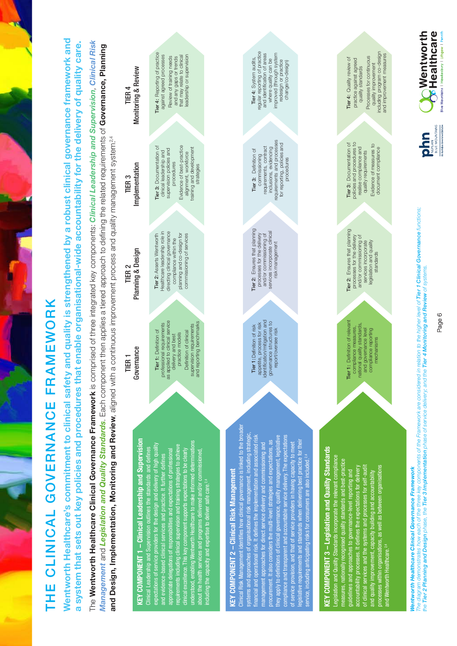# THE CLINICAL GOVERNANCE FRAMEWORK THE CLINICAL GOVERNANCE FRAMEWORK

Wentworth Healthcare's commitment to clinical safety and quality is strengthened by a robust clinical governance framework and **Nentworth Healthcare's commitment to clinical safety and quality is strengthened by a robust clinical governance framework and** a system that sets out key policies and procedures that enable organisational-wide accountability for the delivery of quality care. a system that sets out key policies and procedures that enable organisational-wide accountability for the delivery of quality care.

The Wentworth Healthcare Clinical Governance Framework is comprised of three integrated key components: Clinical Leadership and Supervision, Clinical Risk The Wentworth Healthcare Clinical Governance Framework is comprised of three integrated key components: Clinical Leadership and Supervision, Clinical Risk Management and Legislation and Quality Standards. Each component then applies a tiered approach to defining the related requirements of Governance, Planning Management and Legislation and Quality Standards. Each component then applies a tiered approach to defining the related requirements of Governance, Planning and Design, Implementation, Monitoring and Review, aligned with a continuous improvement process and quality management system<sup>2,4</sup> and Design, Implementation, Monitoring and Review, aligned with a continuous improvement process and quality management system?<sup>4</sup>

KEY COMPONENT 1 – Clinical Leadership and Supervision KEY COMPONENT 1 - Clinical Leadership and Supervision understood, enabling Wentworth Healthcare to make informed determinations expectations of service providers for the design and delivery of high quality understood, enabling Wentworth Healthcare to make informed determinations requirements including clinical supervision and training strategies to achieve expectations of service providers for the design and delivery of high quality requirements including clinical supervision and training strategies to achieve Clinical Leadership and Supervision outlines the standards and defines Clinical Leadership and Supervision outlines the standards and defines appropriate delegations of responsibilities and expectations of professional clinical excellence. This key component supports expectations to be clearly about the health services and programs delivered and/or commissioned. clinical excellence. This key component supports expectations to be clearly about the health services and programs delivered and/or commissioned, and evidence-based clinical services and practice. It further defines and evidence-based clinical services and practice. It further defines es and expectations of profe including the capacity and expertise to deliver safe care.<sup>2,4</sup> including the capacity and expertise to deliver safe care.<sup>2,4</sup> appropriate delegations of resp

## KEY COMPONENT 2 – Clinical Risk Management KEY COMPONENT 2 - Clinical Risk Management

Clinical Risk Management identifies how clinical governance is linked to the broader Clinical Risk Management identifies how clinical governance is linked to the broade systems and approaches of organisational risk management, including strategic, systems and approaches of organisational risk management, including strategic, financial and operational risk. It defines the implementation and associated risk they apply to definitions of clinical governance, quality management, legislative compliance and transparent and accountable service delivery. The expectations they apply to definitions of clinical governance, quality management, legislative compliance and transparent and accountable service delivery. The expectations financial and operational risk. It defines the implementation and associated risk legislative requirements and standards when delivering best practice for their procurement. It also considers the multi-level strategies and expectations, as procurement. It also considers the multi-level strategies and expectations, as lative requirements and standards when delivering best practice for their of service provision, and that of service providers in having capacity to meet management approaches for direct service delivery and commissioning and management approaches for direct service delivery and commissioning and service provision, and that of service providers in having capacity to meet service, including anticipating risks for consumers are also included.<sup>2,4</sup> service, including anticipating risks for consumers are also included.<sup>2,4</sup>

# KEY COMPONENT 3 – Legislation and Quality Standards KEY COMPONENT 3 - Legislation and Quality Standards

Legislation and Quality Standards incorporate the relevant compliance egislation and Quality Standards incorporate the relevant compliance measures, nationally recognised quality standards and best-practice measures, nationally recognised quality standards and best-practice of clinical services and the systems and processes for self-audit accountability processes. It defines the expectations for delivery processes within organisations, as well as between organisations accountability processes. It defines the expectations for delivery of clinical services and the systems and processes for self-audi processes within organisations, as well as between organisations guidelines and approaches to governance-level reporting and lines and approaches to governance-level reporting and and quality improvement, capacity building and accountability and quality improvement, capacity building and accountability and Wentworth Healthcare.2,4 and Wentworth Healthcare.<sup>2</sup>

Tier 1: Definition of relevant compliance measures, national quality standards, and governance level compliance reporting mechanisms

Tier 1: Definition of relevant

national quality standards, compliance measures,

and governance level compliance reporting

mechanisms

Tier 2: Ensures that planning processes for the delivery and/or commissioning of services incorporate egislation and quality standards

processes for the delivery and/or commissioning of<br>services incorporate

legislation and quality

standards

Tier 2: Ensures that planning

Tier 3: Documentation of policies and procedures to realise compliance and quality requirements Evidence of measures to document compliance

Tier 3: Documentation of<br>policies and procedures to

realise compliance and

quality requirements

Tier 4: Quality review of practice against agreed quality standards Processes for continuous quality improvement including program co-design and improvement measures

practice against agreed

quality standards

Tier 4: Quality review of

including program co-design

Processes for continuous

quality improvement

Evidence of measures to

document compliance

and improvement measures





Tier 2: Ensures that planning Tier 2: Ensures that planning and/or commissioning of<br>services incorporate clinical services incorporate clinical processes for the delivery processes for the delivery and/or commissioning of risk management risk management

requirements and processes requirements and processes for reporting, policies and for reporting, policies and requirements, contract<br>inclusions, evidencing requirements, contract Tier 3: Definition of inclusions, evidencing Tier 3: Definition of commissioning commissioning procedures procedures

regular reporting of practice<br>and identification of areas regular reporting of practice and identification of areas improved (through system improved (through system Tier 4: System audits, Tier 4: System audits, where quality can be where quality can be redesign or practice redesign or practice

change/co-design) change/co-design)

**OF Healthcare Nentworth** lue Mountains | Hawkesbury | Lithqow | Penri php

The diagram demonstrates how each of the three key components of the Framework are considered in relation to the higher level of Tier 1 Clinical Governance functions; The diagram demonstrates how each of the three key components of the Framework are considered in relation to the higher level of Tier 1 Clinical Governance functions; the Tier 2 Planning and Design phase, the Tier 3 Implementation phase of service delivery; and the Tier 4 Monitoring and Review of systems. the Tier 2 Planning and Design phase, the Tier 3 Implementation phase of service delivery; and the Tier 4 Monitoring and Review of systems. **Wentworth Healthcare Clinical Governance Framework** 

Wentworth Healthcare Clinical Governance Framework

Page 6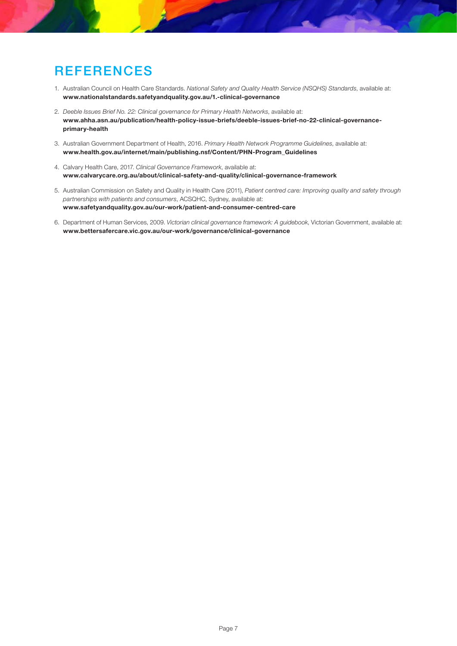#### **REFERENCES**

- 1. Australian Council on Health Care Standards. National Safety and Quality Health Service (NSQHS) Standards, available at: www.nationalstandards.safetyandquality.gov.au/1.-clinical-governance
- 2. Deeble Issues Brief No. 22: Clinical governance for Primary Health Networks, available at: www.ahha.asn.au/publication/health-policy-issue-briefs/deeble-issues-brief-no-22-clinical-governanceprimary-health
- 3. Australian Government Department of Health, 2016. Primary Health Network Programme Guidelines, available at: www.health.gov.au/internet/main/publishing.nsf/Content/PHN-Program\_Guidelines
- 4. Calvary Health Care, 2017. Clinical Governance Framework, available at: www.calvarycare.org.au/about/clinical-safety-and-quality/clinical-governance-framework
- 5. Australian Commission on Safety and Quality in Health Care (2011), Patient centred care: Improving quality and safety through partnerships with patients and consumers, ACSQHC, Sydney, available at: www.safetyandquality.gov.au/our-work/patient-and-consumer-centred-care
- 6. Department of Human Services, 2009. Victorian clinical governance framework: A guidebook, Victorian Government, available at: www.bettersafercare.vic.gov.au/our-work/governance/clinical-governance